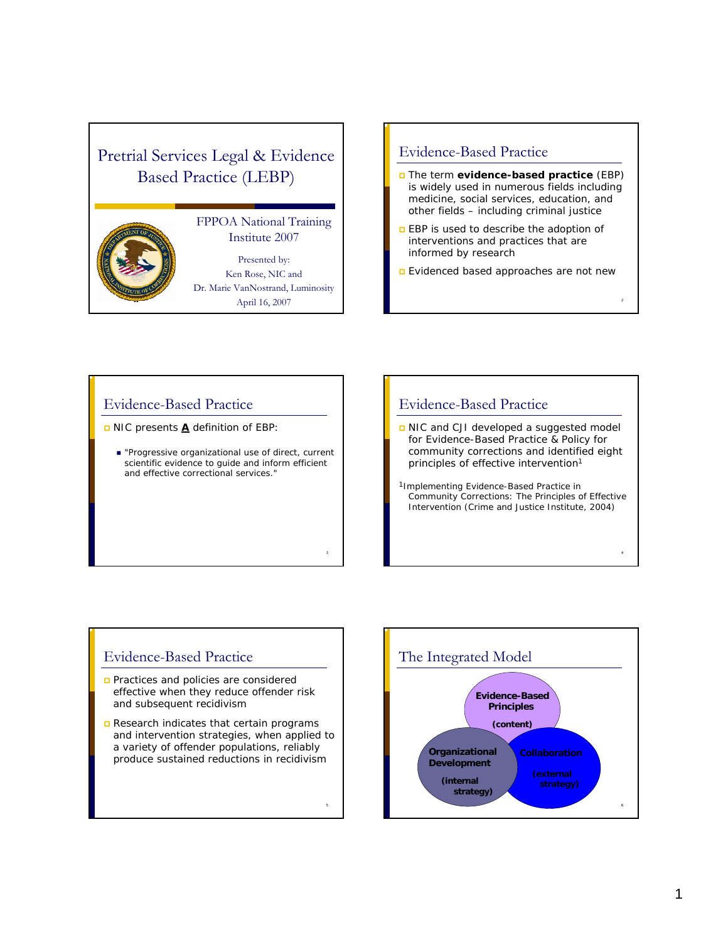# Pretrial Services Legal & Evidence Based Practice (LEBP)



### FPPOA National Training Institute 2007

Presented by: Ken Rose, NIC and Dr. Marie VanNostrand, Luminosity April 16, 2007

### Evidence-Based Practice

- The term *evidence-based practice (EBP)*  is widely used in numerous fields including medicine, social services, education, and other fields – including criminal justice
- **EBP** is used to describe the adoption of interventions and practices that are informed by research
- **E** Evidenced based approaches are not new

## Evidence-Based Practice

*NIC presents A definition of EBP:* 

 *"Progressive organizational use of direct, current scientific evidence to guide and inform efficient and effective correctional services."*

### Evidence-Based Practice

- NIC and CJI developed a suggested model for Evidence-Based Practice & Policy for community corrections and identified eight principles of effective intervention<sup>1</sup>
- 1Implementing Evidence-Based Practice in Community Corrections: The Principles of Effective Intervention (Crime and Justice Institute, 2004)

4

### Evidence-Based Practice

- **Practices and policies are considered** effective when they reduce offender risk and subsequent recidivism
- Research indicates that certain programs and intervention strategies, when applied to a variety of offender populations, reliably produce sustained reductions in recidivism

5

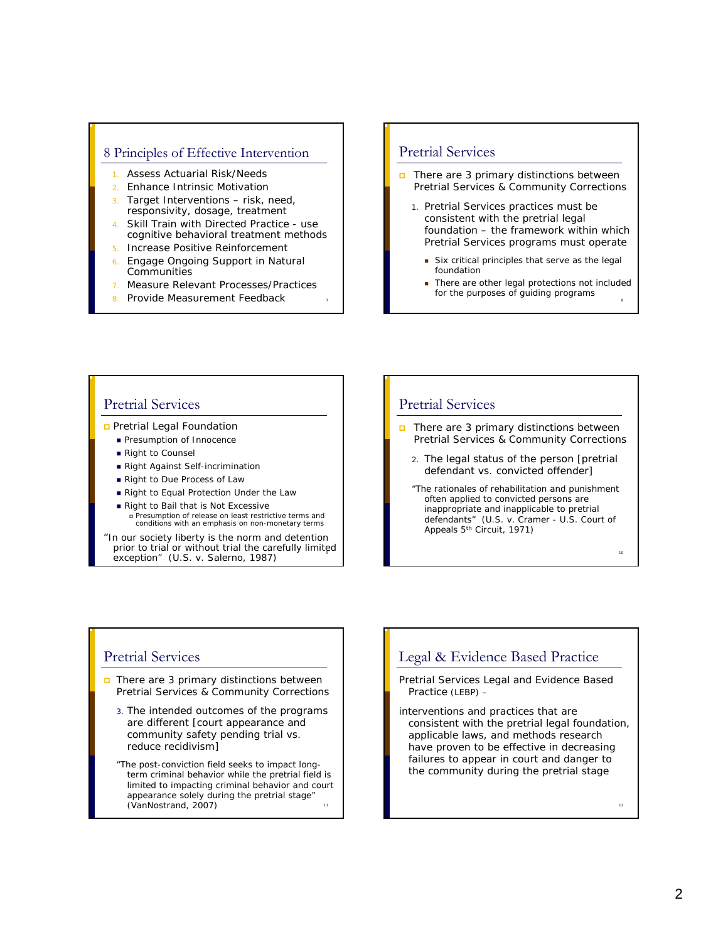### 8 Principles of Effective Intervention

- Assess Actuarial Risk/Needs
- 2. Enhance Intrinsic Motivation
- 3. Target Interventions risk, need, responsivity, dosage, treatment
- 4. Skill Train with Directed Practice use cognitive behavioral treatment methods
- 5. Increase Positive Reinforcement
- 6. Engage Ongoing Support in Natural **Communities**
- 7. Measure Relevant Processes/Practices

7

8. Provide Measurement Feedback <sup>8</sup>

## Pretrial Services

- $\Box$  There are 3 primary distinctions between Pretrial Services & Community Corrections
	- 1. Pretrial Services practices must be consistent with the pretrial legal foundation – the framework within which Pretrial Services programs must operate
		- Six critical principles that serve as the legal foundation
		- **There are other legal protections not included** for the purposes of guiding programs

### Pretrial Services

**D** Pretrial Legal Foundation

- **Presumption of Innocence**
- Right to Counsel
- Right Against Self-incrimination
- Right to Due Process of Law
- Right to Equal Protection Under the Law
- Right to Bail that is Not Excessive Presumption of release on least restrictive terms and conditions with an emphasis on non-monetary terms

prior to trial or without trial the carefully limited "In our society liberty is the norm and detention exception" (U.S. v. Salerno, 1987)

### Pretrial Services

- $\Box$  There are 3 primary distinctions between Pretrial Services & Community Corrections
	- 2. The legal status of the person [pretrial defendant vs. convicted offender]
	- "The rationales of rehabilitation and punishment often applied to convicted persons are inappropriate and inapplicable to pretrial defendants" (U.S. v. Cramer - U.S. Court of Appeals 5th Circuit, 1971)

### Pretrial Services

- There are 3 primary distinctions between Pretrial Services & Community Corrections
	- 3. The intended outcomes of the programs are different [court appearance and community safety pending trial vs. reduce recidivism]
	- 11 "The post-conviction field seeks to impact longterm criminal behavior while the pretrial field is limited to impacting criminal behavior and court appearance solely during the pretrial stage" (VanNostrand, 2007) <sup>12</sup>

### Legal & Evidence Based Practice

Pretrial Services Legal and Evidence Based Practice (LEBP) –

interventions and practices that are consistent with the pretrial legal foundation, applicable laws, and methods research have proven to be effective in decreasing failures to appear in court and danger to the community during the pretrial stage

2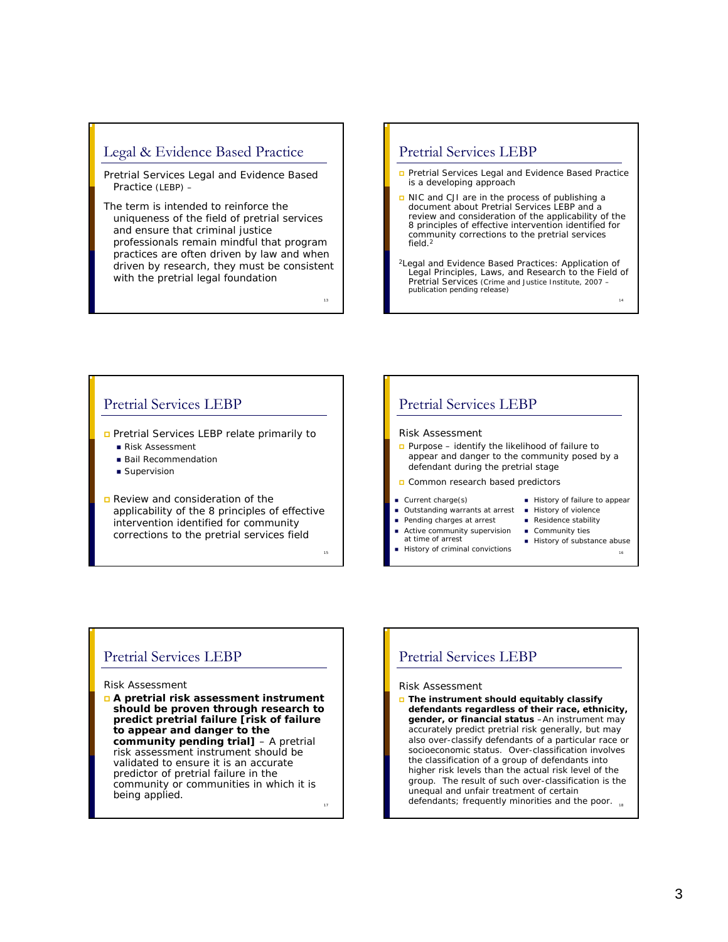## Legal & Evidence Based Practice

Pretrial Services Legal and Evidence Based Practice (LEBP) –

The term is intended to reinforce the uniqueness of the field of pretrial services and ensure that criminal justice professionals remain mindful that program practices are often driven by law and when driven by research, they must be consistent with the pretrial legal foundation

13

15

### Pretrial Services LEBP

- **Pretrial Services Legal and Evidence Based Practice** is a developing approach
- NIC and CJI are in the process of publishing a document about Pretrial Services LEBP and a review and consideration of the applicability of the 8 principles of effective intervention identified for community corrections to the pretrial services field  $2$
- 2Legal and Evidence Based Practices: Application of Legal Principles, Laws, and Research to the Field of Pretrial Services (Crime and Justice Institute, 2007 – publication pending release)

### Pretrial Services LEBP

**Pretrial Services LEBP relate primarily to** 

- Risk Assessment
- **Bail Recommendation**
- Supervision
- Review and consideration of the applicability of the 8 principles of effective intervention identified for community corrections to the pretrial services field

### Pretrial Services LEBP

#### Risk Assessment

- Purpose identify the likelihood of failure to appear and danger to the community posed by a defendant during the pretrial stage
- Common research based predictors

#### Current charge(s)

- Outstanding warrants at arrest
- Pending charges at arrest
- Active community supervision at time of arrest
- History of criminal convictions
- History of failure to appear

1

- **History of violence**
- Residence stability
- Community ties
- History of substance abuse

16

### Pretrial Services LEBP

#### Risk Assessment

 **A pretrial risk assessment instrument should be proven through research to predict pretrial failure [risk of failure to appear and danger to the community pending trial]** – A pretrial risk assessment instrument should be validated to ensure it is an accurate predictor of pretrial failure in the community or communities in which it is

17

### Pretrial Services LEBP

#### Risk Assessment

being applied.<br>
18 defendants; frequently minorities and the poor. **The instrument should equitably classify defendants regardless of their race, ethnicity, gender, or financial status** –An instrument may accurately predict pretrial risk generally, but may also over-classify defendants of a particular race or socioeconomic status. Over-classification involves the classification of a group of defendants into higher risk levels than the actual risk level of the group. The result of such over-classification is the unequal and unfair treatment of certain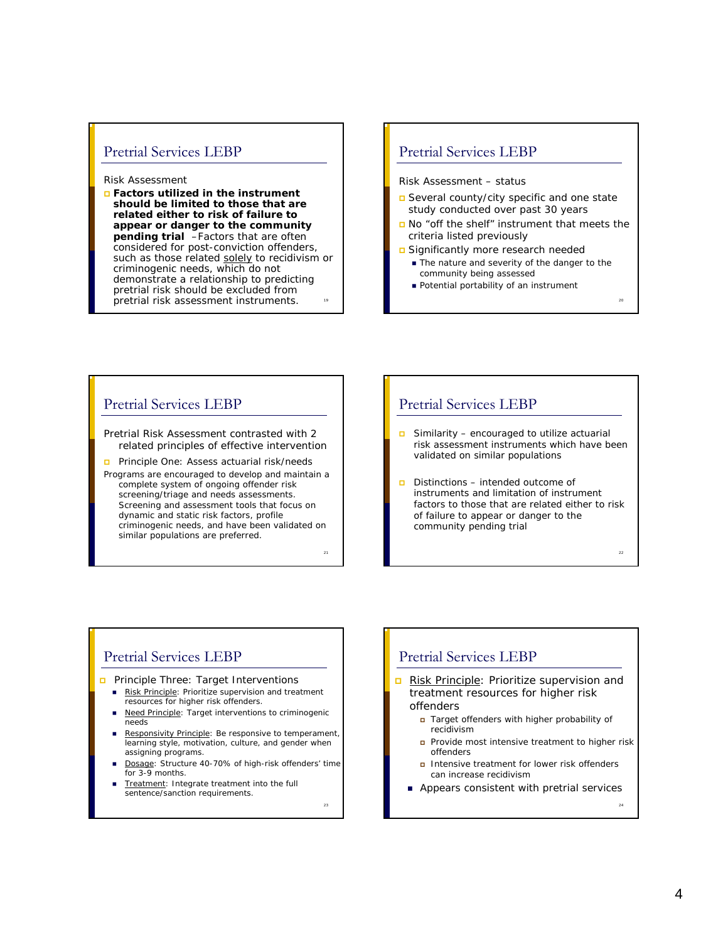### Pretrial Services LEBP

#### Risk Assessment

19 **Factors utilized in the instrument should be limited to those that are related either to risk of failure to appear or danger to the community pending trial** –Factors that are often considered for post-conviction offenders, such as those related solely to recidivism or criminogenic needs, which do not demonstrate a relationship to predicting pretrial risk should be excluded from pretrial risk assessment instruments.

### Pretrial Services LEBP

### Risk Assessment – status

- Several county/city specific and one state study conducted over past 30 years
- No "off the shelf" instrument that meets the criteria listed previously
- Significantly more research needed
	- The nature and severity of the danger to the community being assessed
	- **Potential portability of an instrument**

<sub>22</sub>

### Pretrial Services LEBP

Pretrial Risk Assessment contrasted with 2 related principles of effective intervention

**Principle One: Assess actuarial risk/needs** 

Programs are encouraged to develop and maintain a complete system of ongoing offender risk screening/triage and needs assessments. Screening and assessment tools that focus on dynamic and static risk factors, profile criminogenic needs, and have been validated on similar populations are preferred.

21

 $2<sup>3</sup>$ 

### Pretrial Services LEBP

- Similarity encouraged to utilize actuarial risk assessment instruments which have been validated on similar populations
- $\Box$  Distinctions intended outcome of instruments and limitation of instrument factors to those that are related either to risk of failure to appear or danger to the community pending trial

### Pretrial Services LEBP

### **Principle Three: Target Interventions**

- Risk Principle: Prioritize supervision and treatment resources for higher risk offenders.
- Need Principle: Target interventions to criminogenic needs
- Responsivity Principle: Be responsive to temperament, learning style, motivation, culture, and gender when assigning programs.
- Dosage: Structure 40-70% of high-risk offenders' time for 3-9 months.
- Treatment: Integrate treatment into the full sentence/sanction requirements.

treatment resources for higher risk offenders

Pretrial Services LEBP

 Target offenders with higher probability of recidivism

Risk Principle: Prioritize supervision and

- **Provide most intensive treatment to higher risk** offenders
- **n** Intensive treatment for lower risk offenders can increase recidivism
- **Appears consistent with pretrial services**

24